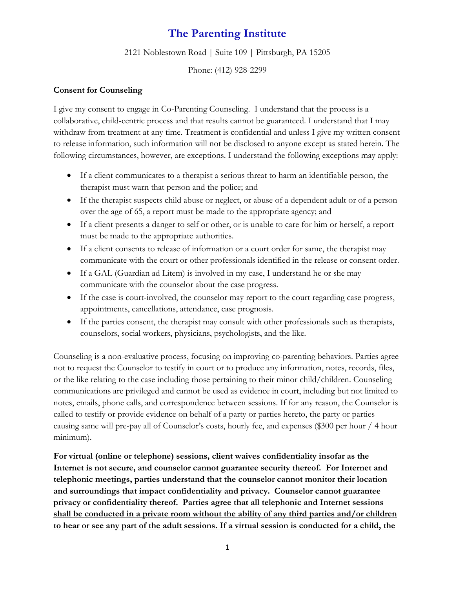## **The Parenting Institute**

2121 Noblestown Road | Suite 109 | Pittsburgh, PA 15205

Phone: (412) 928-2299

## **Consent for Counseling**

I give my consent to engage in Co-Parenting Counseling. I understand that the process is a collaborative, child-centric process and that results cannot be guaranteed. I understand that I may withdraw from treatment at any time. Treatment is confidential and unless I give my written consent to release information, such information will not be disclosed to anyone except as stated herein. The following circumstances, however, are exceptions. I understand the following exceptions may apply:

- If a client communicates to a therapist a serious threat to harm an identifiable person, the therapist must warn that person and the police; and
- If the therapist suspects child abuse or neglect, or abuse of a dependent adult or of a person over the age of 65, a report must be made to the appropriate agency; and
- If a client presents a danger to self or other, or is unable to care for him or herself, a report must be made to the appropriate authorities.
- If a client consents to release of information or a court order for same, the therapist may communicate with the court or other professionals identified in the release or consent order.
- If a GAL (Guardian ad Litem) is involved in my case, I understand he or she may communicate with the counselor about the case progress.
- If the case is court-involved, the counselor may report to the court regarding case progress, appointments, cancellations, attendance, case prognosis.
- If the parties consent, the therapist may consult with other professionals such as therapists, counselors, social workers, physicians, psychologists, and the like.

Counseling is a non-evaluative process, focusing on improving co-parenting behaviors. Parties agree not to request the Counselor to testify in court or to produce any information, notes, records, files, or the like relating to the case including those pertaining to their minor child/children. Counseling communications are privileged and cannot be used as evidence in court, including but not limited to notes, emails, phone calls, and correspondence between sessions. If for any reason, the Counselor is called to testify or provide evidence on behalf of a party or parties hereto, the party or parties causing same will pre-pay all of Counselor's costs, hourly fee, and expenses (\$300 per hour / 4 hour minimum).

**For virtual (online or telephone) sessions, client waives confidentiality insofar as the Internet is not secure, and counselor cannot guarantee security thereof. For Internet and telephonic meetings, parties understand that the counselor cannot monitor their location and surroundings that impact confidentiality and privacy. Counselor cannot guarantee privacy or confidentiality thereof. Parties agree that all telephonic and Internet sessions shall be conducted in a private room without the ability of any third parties and/or children to hear or see any part of the adult sessions. If a virtual session is conducted for a child, the**